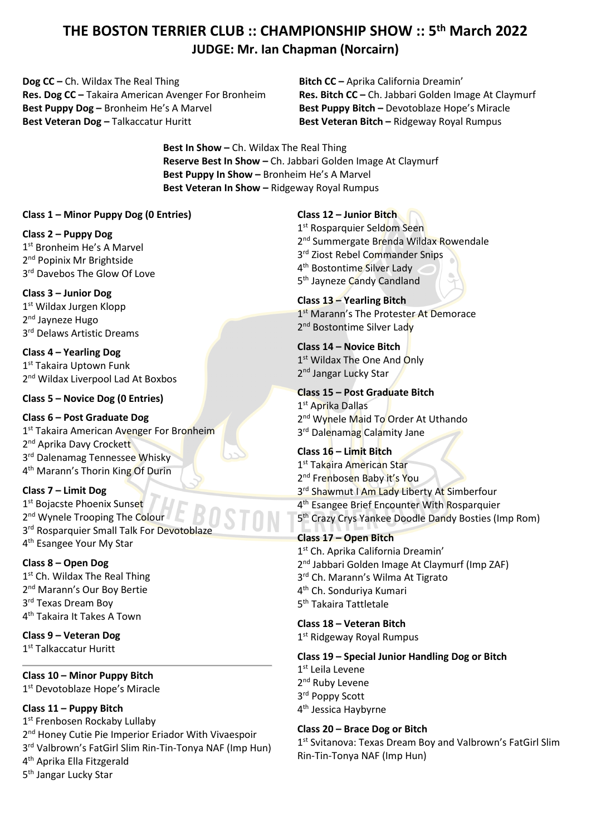# **THE BOSTON TERRIER CLUB :: CHAMPIONSHIP SHOW :: 5th March 2022 JUDGE: Mr. Ian Chapman (Norcairn)**

**Dog CC –** Ch. Wildax The Real Thing **Res. Dog CC –** Takaira American Avenger For Bronheim **Best Puppy Dog –** Bronheim He's A Marvel **Best Veteran Dog –** Talkaccatur Huritt

**Bitch CC –** Aprika California Dreamin' **Res. Bitch CC –** Ch. Jabbari Golden Image At Claymurf **Best Puppy Bitch –** Devotoblaze Hope's Miracle **Best Veteran Bitch –** Ridgeway Royal Rumpus

**Best In Show –** Ch. Wildax The Real Thing **Reserve Best In Show –** Ch. Jabbari Golden Image At Claymurf **Best Puppy In Show –** Bronheim He's A Marvel **Best Veteran In Show –** Ridgeway Royal Rumpus

#### **Class 1 – Minor Puppy Dog (0 Entries)**

### **Class 2 – Puppy Dog**

1<sup>st</sup> Bronheim He's A Marvel 2<sup>nd</sup> Popinix Mr Brightside 3<sup>rd</sup> Davebos The Glow Of Love

# **Class 3 – Junior Dog**

1<sup>st</sup> Wildax Jurgen Klopp 2<sup>nd</sup> Jayneze Hugo 3<sup>rd</sup> Delaws Artistic Dreams

**Class 4 – Yearling Dog** 1<sup>st</sup> Takaira Uptown Funk 2<sup>nd</sup> Wildax Liverpool Lad At Boxbos

### **Class 5 – Novice Dog (0 Entries)**

**Class 6 – Post Graduate Dog** 1<sup>st</sup> Takaira American Avenger For Bronheim 2<sup>nd</sup> Aprika Davy Crockett 3rd Dalenamag Tennessee Whisky 4<sup>th</sup> Marann's Thorin King Of Durin

**Class 7 – Limit Dog** 1st Bojacste Phoenix Sunset 2<sup>nd</sup> Wynele Trooping The Colour 3<sup>rd</sup> Rosparquier Small Talk For Devotoblaze 4<sup>th</sup> Esangee Your My Star

#### **Class 8 – Open Dog**

1<sup>st</sup> Ch. Wildax The Real Thing 2<sup>nd</sup> Marann's Our Boy Bertie 3<sup>rd</sup> Texas Dream Boy 4th Takaira It Takes A Town

**Class 9 – Veteran Dog** 1<sup>st</sup> Talkaccatur Huritt

# **Class 10 – Minor Puppy Bitch**

1<sup>st</sup> Devotoblaze Hope's Miracle

**Class 11 – Puppy Bitch**

1st Frenbosen Rockaby Lullaby 2<sup>nd</sup> Honey Cutie Pie Imperior Eriador With Vivaespoir 3rd Valbrown's FatGirl Slim Rin-Tin-Tonya NAF (Imp Hun) 4th Aprika Ella Fitzgerald

5<sup>th</sup> Jangar Lucky Star

**Class 12 – Junior Bitch**

1<sup>st</sup> Rosparquier Seldom Seen 2<sup>nd</sup> Summergate Brenda Wildax Rowendale 3<sup>rd</sup> Ziost Rebel Commander Snips 4th Bostontime Silver Lady 5th Jayneze Candy Candland

#### **Class 13 – Yearling Bitch** 1<sup>st</sup> Marann's The Protester At Demorace 2<sup>nd</sup> Bostontime Silver Lady

**Class 14 – Novice Bitch** 1<sup>st</sup> Wildax The One And Only 2<sup>nd</sup> Jangar Lucky Star

**Class 15 – Post Graduate Bitch** 1<sup>st</sup> Aprika Dallas 2<sup>nd</sup> Wynele Maid To Order At Uthando 3<sup>rd</sup> Dalenamag Calamity Jane

# **Class 16 – Limit Bitch** 1<sup>st</sup> Takaira American Star 2<sup>nd</sup> Frenbosen Baby it's You 3<sup>rd</sup> Shawmut I Am Lady Liberty At Simberfour 4<sup>th</sup> Esangee Brief Encounter With Rosparquier 5th Crazy Crys Yankee Doodle Dandy Bosties (Imp Rom)

# **Class 17 – Open Bitch**

1<sup>st</sup> Ch. Aprika California Dreamin' 2<sup>nd</sup> Jabbari Golden Image At Claymurf (Imp ZAF) 3<sup>rd</sup> Ch. Marann's Wilma At Tigrato 4th Ch. Sonduriya Kumari 5th Takaira Tattletale

**Class 18 – Veteran Bitch** 1<sup>st</sup> Ridgeway Royal Rumpus

# **Class 19 – Special Junior Handling Dog or Bitch**

1st Leila Levene 2<sup>nd</sup> Ruby Levene 3rd Poppy Scott 4<sup>th</sup> Jessica Haybyrne

# **Class 20 – Brace Dog or Bitch**

1<sup>st</sup> Svitanova: Texas Dream Boy and Valbrown's FatGirl Slim Rin-Tin-Tonya NAF (Imp Hun)